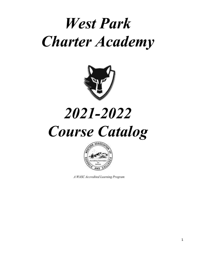# *West Park Charter Academy*



# *2021-2022 Course Catalog*



 *A WASC Accredited Learning Program*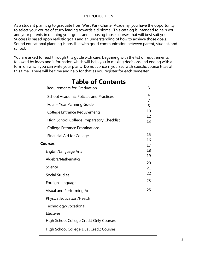### INTRODUCTION

As a student planning to graduate from West Park Charter Academy, you have the opportunity to select your course of study leading towards a diploma. This catalog is intended to help you and your parents in defining your goals and choosing those courses that will best suit you. Success is based upon realistic goals and an understanding of how to achieve those goals. Sound educational planning is possible with good communication between parent, student, and school.

You are asked to read through this guide with care, beginning with the list of requirements, followed by ideas and information which will help you in making decisions and ending with a form on which you can write your plans. Do not concern yourself with specific course titles at this time. There will be time and help for that as you register for each semester.

| Requirements for Graduation                   | 3        |
|-----------------------------------------------|----------|
| <b>School Academic Policies and Practices</b> | 4        |
| Four - Year Planning Guide                    | 7<br>8   |
| <b>College Entrance Requirements</b>          | 10       |
| High School College Preparatory Checklist     | 12       |
| <b>College Entrance Examinations</b>          | 13       |
|                                               | 15       |
| <b>Financial Aid for College</b>              | 16       |
| <b>Courses</b>                                | 17       |
| English/Language Arts                         | 18       |
| Algebra/Mathematics                           | 19       |
| Science                                       | 20<br>21 |
| <b>Social Studies</b>                         | 22       |
| Foreign Language                              | 23       |
| <b>Visual and Performing Arts</b>             | 25       |
| Physical Education/Health                     |          |
| Technology/Vocational                         |          |
| <b>Electives</b>                              |          |
| High School College Credit Only Courses       |          |
| High School College Dual Credit Courses       |          |
|                                               |          |

# Table of Contents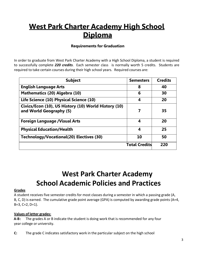# West Park Charter Academy High School **Diploma**

### Requirements for Graduation

In order to graduate from West Park Charter Academy with a High School Diploma, a student is required to successfully complete *220 credits*. Each semester class is normally worth 5 credits. Students are required to take certain courses during their high school years. Required courses are:

| <b>Subject</b>                                                                  | <b>Semesters</b>     | <b>Credits</b> |
|---------------------------------------------------------------------------------|----------------------|----------------|
| <b>English Language Arts</b>                                                    | 8                    | 40             |
| Mathematics (20) Algebra (10)                                                   | 6                    | 30             |
| Life Science (10) Physical Science (10)                                         | 4                    | 20             |
| Civics/Econ (10), US History (10) World History (10)<br>and World Geography (5) | 7                    | 35             |
| <b>Foreign Language / Visual Arts</b>                                           | 4                    | 20             |
| <b>Physical Education/Health</b>                                                | 4                    | 25             |
| Technology/Vocational(20) Electives (30)                                        | 10                   | 50             |
|                                                                                 | <b>Total Credits</b> | 220            |

# West Park Charter Academy School Academic Policies and Practices

#### <span id="page-2-0"></span>**Grades**

A student receives five semester credits for most classes during a semester in which a passing grade (A, B, C, D) is earned. The cumulative grade point average (GPA) is computed by awarding grade points (A=4, B=3, C=2, D=1).

#### Values of letter grades:

A-B: The grades A or B indicate the student is doing work that is recommended for any four year college or university.

C: The grade C indicates satisfactory work in the particular subject on the high school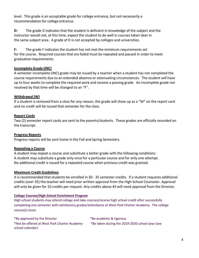level. This grade is an acceptable grade for college entrance, but not necessarily a recommendation for college entrance.

D: The grade D indicates that the student is deficient in knowledge of the subject and the instructor would not, at this time, expect the student to do well in courses taken later in the same subject area. A grade of D is not accepted by colleges and universities.

F: The grade F indicates the student has not met the minimum requirements set for the course. Required courses that are failed must be repeated and passed in order to meet graduation requirements.

### Incomplete Grade (INC)

A semester incomplete (INC) grade may be issued by a teacher when a student has not completed the course requirements due to an extended absence or extenuating circumstances. The student will have up to four weeks to complete the required work and receive a passing grade. An incomplete grade not resolved by that time will be changed to an "F".

### Withdrawal (W)

If a student is removed from a class for any reason, the grade will show up as a "W" on the report card and no credit will be issued that semester for the class.

### Report Cards

Two (2) semester report cards are sent to the parents/students. These grades are officially recorded on the transcript.

### Progress Reports

Progress reports will be sent home in the Fall and Spring Semesters.

### Repeating a Course

A student may repeat a course and substitute a better grade with the following conditions: A student may substitute a grade only once for a particular course and for only one attempt. No additional credit is issued for a repeated course when previous credit was granted.

#### Maximum Credit Guidelines

It is recommended that students be enrolled in 30 - 35 semester credits. If a student requests additional credits (over 35) the teacher will need prior written approval from the High School Counselor. Approval will only be given for 10 credits per request. Any credits above 45 will need approval from the Director.

#### College Courses/High School Enrichment Program

High school students may attend college and take courses/receive high school credit after successfully completing one semester with satisfactory grades/attendance at West Park Charter Academy. The college course(s) must:

\*Be approved by the Director \*Be academic & rigorous \*Not be offered at West Park Charter Academy \*Be taken during the 2019-2020 school year (see school calendar)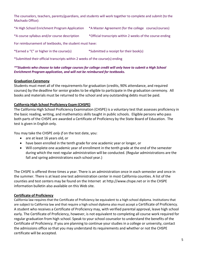The counselors, teachers, parents/guardians, and students will work together to complete and submit (to the Machado Office):

\*A High School Enrichment Program Application \*A Master Agreement (for the college course/courses)

\*A course syllabus and/or course description \*Official transcripts within 2 weeks of the course ending

For reimbursement of textbooks, the student must have:

\*Earned a "C" or higher in the course(s) \*Submitted a receipt for their book(s)

\*Submitted their official transcripts within 2 weeks of the course(s) ending

#### *\*\*Students who choose to take college courses for college credit will only have to submit a High School Enrichment Program application, and will not be reimbursed for textbooks.*

#### Graduation Ceremony

Students must meet all of the requirements for graduation (credits, 90% attendance, and required courses) by the deadline for senior grades to be eligible to participate in the graduation ceremony. All books and materials must be returned to the school and any outstanding debts must be paid.

#### California High School Proficiency Exam (CHSPE)

The California High School Proficiency Examination (CHSPE) is a voluntary test that assesses proficiency in the basic reading, writing, and mathematics skills taught in public schools. Eligible persons who pass both parts of the CHSPE are awarded a Certificate of Proficiency by the State Board of Education. The test is given in English only.

You may take the CHSPE *only if* on the test date, you:

- are at least 16 years old, or
- have been enrolled in the tenth grade for one academic year or longer, or
- Will complete one academic year of enrollment in the tenth grade at the end of the semester during which the next regular administration will be conducted. (Regular administrations are the fall and spring administrations each school year.)

The CHSPE is offered three times a year. There is an administration once in each semester and once in the summer. There is at least one test administration center in most California counties. A list of the counties and test centers may be found on the Internet at http://www.chspe.net or in the CHSPE information bulletin also available on this Web site.

#### Certificate of Proficiency

California law requires that the Certificate of Proficiency be equivalent to a high school diploma. Institutions that are subject to California law and that require a high school diploma also must accept a Certificate of Proficiency. A student who receives a Certificate of Proficiency may, with verified parental approval, leave high school early. The Certificate of Proficiency, however, is not equivalent to completing all course work required for regular graduation from high school. Speak to your school counselor to understand the benefits of the Certificate of Proficiency. If you are planning to continue your studies in a college or university, contact the admissions office so that you may understand its requirements and whether or not the CHSPE certificate will be accepted.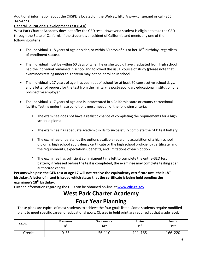Additional information about the CHSPE is located on the Web at: http://www.chspe.net or call (866) 342-4773.

### General Educational Development Test (GED)

West Park Charter Academy does not offer the GED test. However a [student is](http://www.chspe.net/) eligible to take the GED through the State of California if the student is a resident of California and meets any one of the following criteria:

- The individual is 18 years of age or older, or within 60 days of his or her  $18^{th}$  birthday (regardless of enrollment status).
- The individual must be within 60 days of when he or she would have graduated from high school had the individual remained in school and followed the usual course of study (please note that examinees testing under this criteria may not be enrolled in school.
- The individual is 17 years of age, has been out of school for at least 60 consecutive school days, and a letter of request for the test from the military, a post-secondary educational institution or a prospective employer.
- The individual is 17 years of age and is incarcerated in a California state or county correctional facility. Testing under these conditions must meet all of the following criteria:
	- 1. The examinee does not have a realistic chance of completing the requirements for a high school diploma.
	- 2. The examinee has adequate academic skillsto successfully complete the GED test battery.
	- 3. The examinee understands the options available regarding acquisition of a high school diploma, high school equivalency certificate or the high school proficiency certificate, and the requirements, expectations, benefits, and limitations of each option.
	- 4. The examinee has sufficient commitment time left to complete the entire GED test battery; if released before the test is completed, the examinee may complete testing at an authorized center.

Persons who pass the GED test at age 17 will not receive the equivalency certificate until their 18<sup>th</sup> birthday. A letter of intent is issued which states that the certificate is being held pending the examinee's 18<sup>th</sup> birthday.

Further information regarding the GED can be obtained on-line at **www.cde.ca.gov** 

# West Park Charter Academy Four Year Plan[ning](http://www.cde.ca.gov/)

These plans are typical of most students to achieve the four goals listed. Some students require modified plans to meet specific career or educational goals. Classes in **bold** print are required at that grade level.

| <b>GOAL</b> | Freshman | Sophomore<br>$10^{\text{th}}$ | Junior<br>$11^{th}$ | Senior<br>$12^{\text{th}}$ |
|-------------|----------|-------------------------------|---------------------|----------------------------|
| Credits     | 0-55     | 56-110                        | 111-165             | 166-220                    |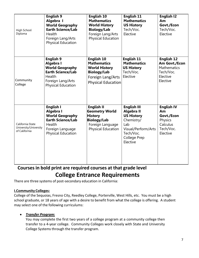| High School<br>Diploma                                     | <b>English 9</b><br>Algebra I<br><b>World Geography</b><br><b>Earth Science/Lab</b><br>Health<br>Foreign Lang/Arts<br><b>Physical Education</b> | <b>English 10</b><br><b>Mathematics</b><br><b>World History</b><br><b>Biology/Lab</b><br>Foreign Lang/Arts<br>Physical Education        | English 11<br><b>Mathematics</b><br><b>US History</b><br>Tech/Voc.<br>Elective                                                                    | English 12<br>Am<br>Govt./Econ<br>Tech/Voc.<br>Elective                                       |
|------------------------------------------------------------|-------------------------------------------------------------------------------------------------------------------------------------------------|-----------------------------------------------------------------------------------------------------------------------------------------|---------------------------------------------------------------------------------------------------------------------------------------------------|-----------------------------------------------------------------------------------------------|
| Community<br>College                                       | <b>English 9</b><br>Algebra I<br><b>World Geography</b><br><b>Earth Science/Lab</b><br>Health<br>Foreign Lang/Arts<br><b>Physical Education</b> | <b>English 10</b><br><b>Mathematics</b><br><b>World History</b><br><b>Biology/Lab</b><br>Foreign Lang/Arts<br><b>Physical Education</b> | <b>English 11</b><br><b>Mathematics</b><br><b>US History</b><br>Tech/Voc.<br>Elective                                                             | <b>English 12</b><br>Am Govt./Econ<br><b>Mathematics</b><br>Tech/Voc.<br>Elective<br>Elective |
| California State<br>University/University<br>of California | <b>English I</b><br>Algebra I<br><b>World Geography</b><br><b>Earth Science/Lab</b><br>Health<br>Foreign Language<br><b>Physical Education</b>  | English II<br><b>Geometry World</b><br><b>History</b><br><b>Biology/Lab</b><br>Foreign Language<br><b>Physical Education</b>            | English III<br><b>Algebra II</b><br><b>US History</b><br>Chemistry/<br>Lab<br>Visual/Perform/Arts<br>Tech/Voc.<br><b>College Prep</b><br>Elective | <b>English IV</b><br>Am<br>Govt./Econ<br>Physics<br>Calculus<br>Tech/Voc.<br>Elective         |

# Coursesin bold print are required courses at that grade level College Entrance Requirements

There are three systems of post-secondary education in California:

#### <span id="page-6-0"></span>I.Community Colleges:

College of the Sequoias, Fresno City, Reedley College, Porterville, West Hills, etc. You must be a high school graduate, or 18 years of age with a desire to benefit from what the college is offering. A student may select one of the following curriculums:

#### *Transfer Program*:

You may complete the first two years of a college program at a community college then transfer to a 4-year college. Community Colleges work closely with State and University College Systems through the transfer program.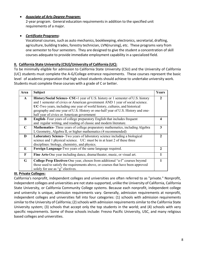#### *Associate of Arts Degree Program*:

2-year program. General education requirements in addition to the specified unit requirements of a major.

### *Certificate Programs*:

Vocational courses, such as auto mechanics, bookkeeping, electronics, secretarial, drafting, agriculture, building trades, forestry technician, LVN(nursing), etc. These programs vary from one semester to four semesters. They are designed to give the student a concentration of skill courses adequate to provide immediate employment capability in a specialized field.

#### II. California State University (CSU)/University of California (UC):

To be minimally eligible for admission to California State University (CSU) and the University of California (UC) students must complete the A-G/College entrance requirements. These courses represent the basic level of academic preparation that high school students should achieve to undertake university work. Students must complete these courses with a grade of C or better.

| Area         | <b>Subject</b>                                                                                                                                                                                                                                                                                                                                                                     | Years                 |
|--------------|------------------------------------------------------------------------------------------------------------------------------------------------------------------------------------------------------------------------------------------------------------------------------------------------------------------------------------------------------------------------------------|-----------------------|
| $\mathbf{A}$ | History/Social Science- CSU-1 year of U.S. history or 1 semester of U.S. history<br>and 1 semester of civics or American government AND 1 year of social science.<br>UC-Two years, including one year of world history, cultures, and historical<br>geography and one year of U.S. History or one-half year of U.S. History and one-<br>half year of civics or American government | $\mathfrak{D}$        |
| B            | <b>English-</b> Four years of college preparatory English that includes frequent<br>and regular writing, and reading of classic and modern literature.                                                                                                                                                                                                                             |                       |
| $\mathbf C$  | <b>Mathematics-</b> Three years of college preparatory mathematics, including Algebra<br>I, Geometry, Algebra II, or higher mathematics (4 recommended)                                                                                                                                                                                                                            | 3                     |
| D            | Laboratory Science- Two years of laboratory science including a biological<br>science and 1 physical science. UC: must be in at least 2 of these three<br>disciplines: biology, chemistry, and physics.                                                                                                                                                                            | $\boldsymbol{\gamma}$ |
| E            | Foreign Language-Two years of the same language required.                                                                                                                                                                                                                                                                                                                          | $\mathbf{2}$          |
| F            | Fine Arts-One year including dance, drama/theater, music, or visual art.                                                                                                                                                                                                                                                                                                           |                       |
| G            | <b>College Prep Electives-One year, chosen from additional "a-f" courses beyond</b><br>those used to satisfy the requirements above, or courses that have been approved<br>solely for use as "g" electives.                                                                                                                                                                        |                       |

#### III. Private Colleges:

California's nonprofit, independent colleges and universities are often referred to as "private." Nonprofit, independent colleges and universities are not state-supported, unlike the University of California, California State University, or California Community College systems. Because each nonprofit, independent college and university is unique, admission requirements vary. Generally, admission requirements at nonprofit, independent colleges and universities fall into four categories: (1) schools with admission requirements similar to the University of California; (2) schools with admission requirements similar to the California State University system; (3) schools that accept only the top students in the world; and (4) schools with very specific requirements. Some of those schools include: Fresno Pacific University, USC, and many religious based colleges and universities.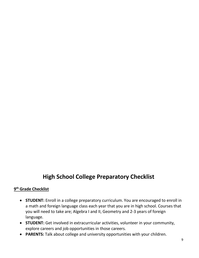# High School College Preparatory Checklist

# 9th Grade Checklist

- STUDENT: Enroll in a college preparatory curriculum. You are encouraged to enroll in a math and foreign language class each year that you are in high school. Courses that you will need to take are; Algebra I and II, Geometry and 2-3 years of foreign language.
- STUDENT: Get involved in extracurricular activities, volunteer in your community, explore careers and job opportunities in those careers.
- PARENTS: Talk about college and university opportunities with your children.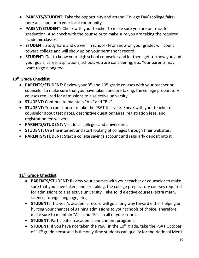- PARENTS/STUDENT: Take the opportunity and attend 'College Day' (college fairs) here at school or in your local community.
- PARENT/STUDENT: Check with your teacher to make sure you are on track for graduation. Also check with the counselor to make sure you are taking the required academic classes.
- STUDENT: Study hard and do well in school From now on your grades will count toward college and will show up on your permanent record.
- **STUDENT:** Get to know your high school counselor and let them get to know you and your goals, career aspirations, schools you are considering, etc. Your parents may want to go along too.

# 10<sup>th</sup> Grade Checklist

- PARENTS/STUDENT: Review your  $9<sup>th</sup>$  and  $10<sup>th</sup>$  grade courses with your teacher or counselor to make sure that you have taken, and are taking, the college preparatory courses required for admissions to a selective university.
- STUDENT: Continue to maintain "A's" and "B's".
- STUDENT: You can choose to take the PSAT this year. Speak with your teacher or counselor about test dates, descriptive questionnaires, registration fees, and registration fee waivers.
- PARENTS/STUDENT: Visit local colleges and universities.
- **STUDENT:** Use the internet and start looking at colleges through their websites.
- PARENTS/STUDENT: Start a college savings account and regularly deposit into it.

# 11<sup>th</sup> Grade Checklist

- PARENTS/STUDENT: Review your courses with your teacher or counselor to make sure that you have taken, and are taking, the college preparatory courses required for admissions to a selective university. Take solid elective courses (extra math, science, foreign language, etc.).
- STUDENT: This year's academic record will go a long way toward either helping or hurting your chances of gaining admissions to your schools of choice. Therefore, make sure to maintain "A's" and "B's" in all of your courses.
- STUDENT: Participate in academic enrichment programs.
- **STUDENT:** If you have not taken the PSAT in the  $10<sup>th</sup>$  grade, take the PSAT October of  $11<sup>th</sup>$  grade because it is the only time students can qualify for the National Merit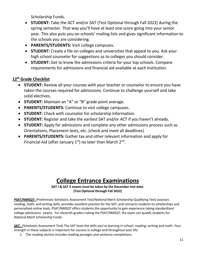Scholarship Funds.

- STUDENT: Take the ACT and/or SAT (Test Optional through Fall 2022) during the spring semester. That way you'll have at least one score going into your senior year. This also puts you on schools' mailing lists and gives significant information to the schools you are considering.
- PARENTS/STUDENTS: Visit college campuses.
- STUDENT: Create a file on colleges and universities that appeal to you. Ask your high school counselor for suggestions as to colleges you should consider.
- **STUDENT:** Get to know the admissions criteria for your top schools. Compare requirements for admissions and financial aid available at each institution.

# 12<sup>th</sup> Grade Checklist

- STUDENT: Review all your courses with your teacher or counselor to ensure you have taken the courses required for admissions. Continue to challenge yourself and take solid electives.
- STUDENT: Maintain an "A" or "B" grade point average.
- PARENTS/STUDENTS: Continue to visit college campuses.
- STUDENT: Check with counselor for scholarship information.
- STUDENT: Register and take the earliest SAT and/or ACT if you haven't already.
- STUDENT: Apply for admissions and complete any other admissions process such as Orientations, Placement tests, etc. (check and meet all deadlines)
- PARENTS/STUDENTS: Gather tax and other relevant information and apply for Financial Aid (after January  $1<sup>st</sup>$ ) no later than March  $2<sup>nd</sup>$ .

# College Entrance Examinations

SAT I & SAT II exams must be taken by the December test date. (Test Optional through Fall 2022)

<span id="page-10-0"></span>PSAT/NMSQT: (Preliminary Scholastic Assessment Test/National Merit Scholarship Qualifying Test) assesses reading, math, and writing skills; provides excellent practice for the SAT; and connects students to scholarships and personalized online tools. PSAT/NMSQT offers students the opportunity to gain experience taking standardized college admissions exams. For eleventh graders taking the PSAT/NMSQT, the exam can qualify students for National Merit Scholarship Funds.

SAT: (Scholastic Assessment Test) The SAT tests the skills you're learning in school: reading, writing and math. Your strength in these subjects is important for success in college and throughout your life.

1. The reading section includes reading passages and sentence completions.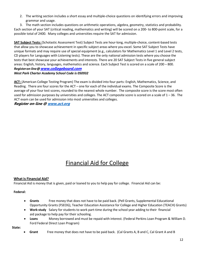2. The writing section includes a short essay and multiple-choice questions on identifying errors and improving grammar and usage.

3. The math section includes questions on arithmetic operations, algebra, geometry, statistics and probability. Each section of your SAT (critical reading, mathematics and writing) will be scored on a 200- to 800-point scale, for a possible total of 2400. Many colleges and universities require the SAT for admission.

SAT Subiect Tests: (Scholastic Assessment Test) Subject Tests are hour-long, multiple-choice, content-based tests that allow you to showcase achievement in specific subject areas where you excel. Some SAT Subject Tests have unique formats and may require use of special equipment (e.g., calculators for Mathematics Level 1 and Level 2 tests, CD players for Languages with Listening tests). These are the only national admission tests where you choose the tests that best showcase your achievements and interests. There are 20 SAT Subject Tests in five general subject areas: English, history, languages, mathematics and science. Each Subject Test is scored on a scale of 200 – 800. *Registeron-line@*www.collegeboard.com

#### *West Park Charter Academy School Code is 050932*

ACT: (American College Testing Program) The exam is divided into four parts: English, Mathematics, Science, and Reading. There are four scores for the ACT – one for each of the individual exams. The Composite Score is the average of your four test scores, rounded to the nearest whole number. The composite score is the score most often used for admissio[n purposes by universities and colleg](http://www.collegeboard.com/)es. The ACT composite score is scored on a scale of 1 – 36. The ACT exam can be used for admission into most universities and colleges.

Register on-line @ www.act.org

# Financial Aid for College

#### What is Financial Aid?

Financial Aid is money that is given, paid or loaned to you to help pay for college. Financial Aid can be:

#### Federal:

- Grants Free money that does not have to be paid back. (Pell Grants, Supplemental Educational Opportunity Grants (FSEOG), Teacher Education Assistance for College and Higher Education (TEACH) Grants)
- Work-study Salary for students to work part-time during the school year adding to their financial aid package to help pay for their schooling.
- Loans Money borrowed and must be repaid with interest. (Federal Perkins Loan Program & William D. Ford Federal Direct Loan Program)

State:

**Grant** Free money that does not have to be paid back. (Cal Grants A, B and C, Cal Grant A and B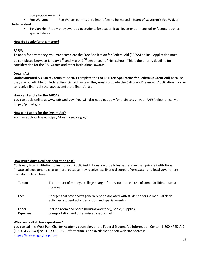Competitive Awards).

- Fee Waivers Fee Waiver permits enrollment fees to be waived. (Board of Governor's Fee Waiver) Independent:
	- Scholarship Free money awarded to students for academic achievement or many other factors such as special talents.

#### How do I apply for this money?

#### FAFSA

To apply for any money, you must complete the Free Application for Federal Aid (FAFSA) online. Application must

be completed between January 1st and March 2<sup>nd</sup> senior year of high school. This is the priority deadline for consideration for the CAL Grants and other institutional awards.

#### Dream Act

Undocumented AB 540 students must NOT complete the FAFSA (Free Application for Federal Student Aid) because they are not eligible for Federal financial aid. Instead they must complete the California Dream Act Application in order to receive financial scholarships and state financial aid.

#### How can I apply for the FAFSA?

You can apply online at www.fafsa.ed.gov. You will also need to apply for a pin to sign your FAFSA electronically at https://pin.ed.gov.

#### How can I apply for the Dream Act?

You can apply online at https://dream.csac.ca.gov/.

#### How much does a college education cost?

Costs vary from institution to institution. Public institutions are usually less expensive than private institutions. Private colleges tend to charge more, because they receive less financial support from state and local government than do public colleges.

| <b>Tuition</b>                  | The amount of money a college charges for instruction and use of some facilities, such a<br>libraries.                                                |
|---------------------------------|-------------------------------------------------------------------------------------------------------------------------------------------------------|
| <b>Fees</b>                     | Charges that cover costs generally not associated with student's course load (athletic<br>activities, student activities, clubs, and special events). |
| <b>Other</b><br><b>Expenses</b> | Include room and board (housing and food), books, supplies,<br>transportation and other miscellaneous costs.                                          |

#### Who can I call if I have questions?

You can call the West Park Charter Academy counselor, or the Federal Student Aid Information Center, 1-800-4FED-AID (1-800-433-3243) or 319-337-5665. Information is also available on their web site address: https://fafsa.ed.gov/help.htm.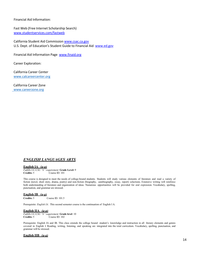#### Financial Aid Information:

Fast Web (Free Internet Scholarship Search) www.studentservices.com/fastweb

California Student Aid Commission www.csac.ca.gov U.S. Dept. of Education's Student Guide to Financial Aid www.ed.gov

Financial Aid Information Page www.finaid.org

[Career Exploration:](http://www.studentservices.com/fastweb)

 California Career Center www.calcareercenter.org

 California Career Zone www.careerzone.org

#### *ENGLISH LANGUAGES ARTS*

#### English IA *(a-g)*

*Fulfills UC/CSU "b" requirement* Grade Level: 9 Course ID: 101

This course is designed to meet the needs of college-bound students. Students will study various elements of literature and read a variety of fiction (novel, short story, drama, poetry) and non-fiction (biography, autobiography, essay, report) selections. Extensive writing will reinforce both understanding of literature and organization of ideas. Numerous opportunities will be provided for oral expression. Vocabulary, spelling, punctuation, and grammar are stressed.

# English IB *(a-g)*

Course ID: 101.5

Prerequisite: *English IA*. This second semester course is the continuation of English I A.

#### English IIA *(a-g)*

*Fulfills UC/CSU "b" requirement* **Grade level**: 10<br>**Credits:** 5 Course ID: 102 Course ID: 102

Prerequisite: English IA and IB. This class extends the college bound student's knowledge and instruction in all literary elements and genres covered in English I. Reading, writing, listening, and speaking are integrated into the total curriculum. Vocabulary, spelling, punctuation, and grammar will be stressed.

#### English IIB *(a-g)*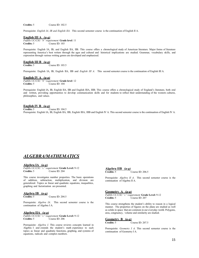Credits: 5 Course ID: 102.5

Prerequisite: *English IA, IB and English IIA*. This second semester course is the continuation of English II A.

#### English III A *(a-g)*

*Fulfills UC/CSU "b" requirement* Grade level: 11 Credits: 5 Course ID: 103

Prerequisite: English IA, IB, and English IIA, IIB. This course offers a chronological study of American literature. Major forms of literature representing America's best writers through the ages and cultural and historical implications are studied. Grammar, vocabulary skills, and expression through various writing genres are developed and emphasized.

#### English III B *(a-g)*

Credits: 5 Course ID: 103.5

Prerequisite: English IA, IB, English IIA, IIB and *English III A*. This second semester course is the continuation of English III A.

#### English IV A *(a-g)*

*Fulfills UC/CSU "b" requirement* Grade level: 12 Credits: 5 Course ID: 104 Course ID: 104

Prerequisite: English IA, IB, English IIA, IIB and English IIIA, IIIB. This course offers a chronological study of England's literature, both oral and written, providing opportunities to develop communication skills and for students to reflect their understanding of the western cultures, philosophies, and values.

# English IV B *(a-g)*

Course ID: 104.5 Prerequisite: English IA, IB, English IIA, IIB, English IIIA, IIIB and English IV A. This second semester course is the continuation of English IV A.

### <span id="page-14-0"></span>*ALGEBRA/MATHEMATICS*

#### Algebra IA *(a-g)*

*Fulfills UC/CSU "c" requirement* Grade Level: 9-12 Course ID: 204

This course investigates number properties. The basic operations of addition, subtraction, multiplication, and division are generalized. Topics as linear and quadratic equations, inequalities, graphing and factorization are presented.

# Algebra IB *(a-g)*

Course ID: 204.5

Prerequisite: *Algebra IA*. This second semester course is the continuation of Algebra I A.

#### Algebra IIA *(a-g)*

*Fulfills UC/CSU "c" requirement* Grade Level: 9-12<br>Credits: 5 Course ID: 206 Course ID: 206

Prerequisite: *Algebra I*. This course reviews concepts learned in Algebra I and extends the student's math experience to such topics as linear and quadratic functions, graphing, and systems of equations, radicals and complex numbers.

| Algebra IIB $(a-g)$ |                    |
|---------------------|--------------------|
| Credits: 5          | Course ID: $206.5$ |

Prerequisite: *Algebra II A*. This second semester course is the continuation of Algebra II A.

#### Geometry A *(a-g)*

*Fulfills UC/CSU "c" requirement* Grade Level: 9-12 Credits: 5 Course ID: 207

This course strengthens the student's ability to reason in a logical manner. The properties of figures on the plane are studied as well as solids in space that are common in our everyday world. Polygons, area, congruency, volume and similarity are studied.

#### Geometry B *(a-g)*

Credits: 5 Course ID: 207.5

Prerequisite: *Geometry I A*. This second semester course is the continuation of Geometry I A.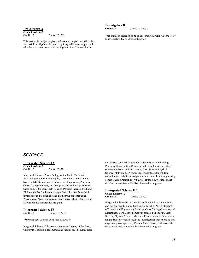#### Pre Algebra A

Grade Level: 9-12<br>Credits: 5

Course ID: 203

<span id="page-15-0"></span>This course is design to give students the support needed to be successful in Algebra. Students requiring additional support will take this class concurrent with the Algebra 1A or Mathematics IA.

Pre Algebra B<br>Credits: 5

Course ID: 203.5

This course is designed to be taken concurrent with Algebra IA or Mathematics IA or additional support

#### *SCIENCE*

#### Intergrated Science IA

Grade Level: 9-12<br>Credits: 5 Course ID: 321

Integrated Science 1A is a Biology of the Earth, California localized, phenomenon and inquiry based course. Each unit is based on NGSS standards of Science and Engineering Practices, Cross Cutting Concepts, and Disciplinary Core Ideas (themselves based on Life Science, Earth Science, Physical Science, Math and ELA standards). Students are taught data collection for real-life investigations into scientific and engineering concepts using Pearson (now Savvas) textbooks, workbooks, lab simulations and Savvas Realize's interactive program.

# **Intergrated Science IB**<br>Credits: 5 Cours

Course ID: 321.5

*\*\*Prerequisite Course: Integrated Science 1A* 

Integrated Science 1B is a second semester Biology of the Earth, California localized, phenomenon and inquiry based course. Each

unit is based on NGSS standards of Science and Engineering Practices, Cross Cutting Concepts, and Disciplinary Core Ideas (themselves based on Life Science, Earth Science, Physical Science, Math and ELA standards). Students are taught data collection for real-life investigations into scientific and engineering concepts using Pearson (now Savvas) textbooks, workbooks, lab simulations and Savvas Realize's interactive program.

#### Intergrated Science IIA

Grade Level: 9-12<br>Credits: 5 Course ID: 322

Integrated Science IIA is Chemistry of the Earth, a phenomenon and inquiry based course. Each unit is based on NGSS standards of Science and Engineering Practices, Cross Cutting Concepts, and Disciplinary Core Ideas (themselves based on Chemistry, Earth Science, Physical Science, Math and ELA standards). Students are taught data collection for real-life investigations into scientific and engineering concepts using Pearson (now Savvas) textbooks, lab simulations and Savvas Realize's interactive program.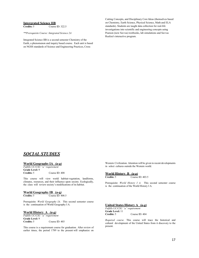# **Intergrated Science IIB**<br>Credits: 5 Course

*\*\*Prerequisite Course: Integrated Science 2A*

<span id="page-16-0"></span>Integrated Science IIB is a second semester Chemistry of the Earth, a phenomenon and inquiry based course. Each unit is based on NGSS standards of Science and Engineering Practices, Cross

Course ID: 322.5

Cutting Concepts, and Disciplinary Core Ideas (themselves based on Chemistry, Earth Science, Physical Science, Math and ELA standards). Students are taught data collection for real-life investigations into scientific and engineering concepts using Pearson (now Savvas) textbooks, lab simulations and Savvas Realize's interactive program.

## *SOCIAL STUDIES*

#### World Geography IA *(a-g)*

*Fulfills UC/CSU "a" requirement* Grade Level: 9<br>Credits: 5 Course ID: 408

This course will view world habitat-vegetation, landforms, climates, resources, and their influence upon society. Ecologically, the class will review society's modifications of its habitat.

#### **World Geography IB (a-g)**<br>Credits: 5 Course ID: 4 Course ID:  $408.5$

Prerequisite: *World Geography IA*. This second semester course is the continuation of World Geography I A.

#### World History A *(a-g)*

*Fulfills UC/CSU "a" requirement* Grade Level: 9<br>Credits: 5 Course ID: 403

This course is a requirement course for graduation. After review of earlier times, the period 1789 to the present will emphasize on

Western Civilization. Attention will be given to recent developments in select cultures outside the Western world.

# World History B *(a-g)*

Course ID: 403.5

Prerequisite: *World History I A*. This second semester course is the continuation of the World History I A.

#### United States History A *(a-g)*

*Fulfills UC/CSU "a" requirement* Grade Level: 11<br>Credits: 5 Course ID: 404

*Required course*. This course will trace the historical and cultural development of the United States from it discovery to the present.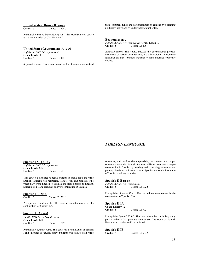# United States History B *(a-g)*

Course ID:  $404.5$ 

Prerequisite: *United States History I A*. This second semester course is the continuation of U.S. History I A.

#### United States Government A *(a-g)*

*Fulfills UC/CSU "a" requirement* Grade Level: 11<br>Credits: 5 Course ID: 405

<span id="page-17-0"></span>*Required course.* This course would enable students to understand

their common duties and responsibilities as citizens by becoming politically active and by understanding our heritage.

#### Economics (a-g*)*

*Fulfills UC/CSU* "g" *requirement* **Grade Level:** 12<br>**Credits:** 5 Course ID: 406 Course ID:  $406$ 

*Required course*. This course stresses the governmental process, awareness of current developments, and a background in economic fundamentals that provides students to make informed economic choices.

#### *FOREIGN LANGUAGE*

#### Spanish IA ( a - g *)*

*Fulfills UC/CSU "e" requirement* Grade Level: 9-12<br>Credits: 5 Course ID: 501

This course is designed to teach students to speak, read and write Spanish. Students will memorize, learn to spell and pronounce the vocabulary from English to Spanish and from Spanish to English. Students will learn grammar and verb conjugation in Spanish.

# Spanish IB *(a-g)*

Course ID:  $501.5$ 

Prerequisite: *Spanish I A*. This second semester course is the continuation of Spanish I A.

#### Spanish II A (a-g)

*Fulfills UC/CSU "e" requirement* Grade Level: 9-12<br>Credits: 5 Course ID: 502

Prerequisite: *Spanish I A/B*. This course is a continuation of Spanish I and includes vocabulary study. Students will learn to read, write

sentences, and read stories emphasizing verb tenses and proper sentence structure in Spanish. Students will learn to conduct a simple conversation in Spanish by reading and translating sentences and phrases. Students will learn to read Spanish and study the culture of Spanish speaking countries.

#### Spanish II B (a-g)

*Fulfills UC/CSU "e" requirement* Course ID: 502.5

Prerequisite: *Spanish II A*. This second semester course is the continuation of Spanish II A.

#### Spanish III A

Grade Level: 9-12<br>Credits: 5 Course ID: 503

Prerequisite: *Spanish II A/B*. This course includes vocabulary study plus a review of all previous verb tenses. The study of Spanish literature and culture will be included.

Course ID: 503.5

# Spanish III B<br>Credits: 5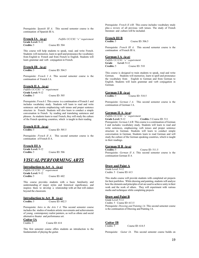Prerequisite: *Spanish III A*. This second semester course is the continuation of Spanish III A.

French IA *(a-g) Fulfills UC/CSU "e" requirement* Grade Level: 9-12<br>Credits: 5 Course ID: 504

This course will help students to speak, read, and write French. Students will memorize, learn to spell and pronounce the vocabulary from English to French and from French to English. Students will learn grammar and verb conjugation in French.

#### French IB *(a-g)*

Credits: 5 Course ID: 504.5

Prerequisite: *French I A*. This second semester course is the continuation of French I A.

#### French II A *(a-g)*

*Fulfills UC/CSU "e" requirement* Grade Level: 9-12 Credits: 5 Course ID: 505

Prerequisite: *French I*. This course is a continuation of French I and includes vocabulary study. Students will learn to read and write sentences and stories emphasizing verb tenses and proper sentence structure in French. Students will also learn to conduct a simple conversation in French by reading and translating sentences and phrases. As students learn to read French, they will study the culture of the French speaking countries, which is taught in their reading.

#### French II B *(a-g)* Course ID: 505.5

Prerequisite: *French II A*. This second semester course is the continuation of French II A.

#### French III A

Grade Level: 9-12<br>Credits: 5

# *VISUAL/PERFORMING ARTS*

Course ID: 506

#### Introduction to Art A *(a-g)*

*Fulfills UC/CSU "f" requirement* Grade Level: 9-12<br>Credits: 5 Course ID: 602

This course provides students with a basic familiarity and understanding of major styles and historical significance, and inspires them to develop a relationship with art that will endure beyond the classroom.

#### **Introduction to Art B** *(a-g)*<br>Credits: 5 Course ID: 60 Course ID:  $602.5$

Prerequisite: *Intro to the Arts I A*. This second semester course includes the studies of modern artistic movements and achievements of young contemporary realist painters, as well as ethnic and social alternative theater and performance art.

**Guitar IA**<br>Credits: 5

Course ID: 614

This first semester course offers students an introduction to the fundamentals of playing the guitar.

Prerequisite: *French II A/B*. This course includes vocabulary study plus a review of all previous verb tenses. The study of French literature and culture will be included.

# **French III B**<br>Credits: 5

Course ID: 506.5

Prerequisite: *French III A*. This second semester course is the continuation of French III A.

#### German I A *(a-g)*

*Fulfills UC/CSU "e" requirement*  Grade Level: 9-12<br>Credits: 5 Course ID: 510

This course is designed to train students to speak, read and write German. Students will memorize, learn to spell and pronounce the vocabulary from English to German and from German to English. Students will learn grammar and verb conjugation in German.

#### German I B *(a-g)*

Credits: 5 Course ID: 510.5

Prerequisite: *German I A*. This second semester course is the continuation of German I A.

#### German II A *(a-g)*

*Fulfills UC/CSU "e" requirement* 

Grade Level: 9-12 Credits: 5 Course ID: 511 Prerequisite: *German I A/B*. This course is a continuation of German I and includes vocabulary study. Students will learn to read and write sentences, emphasizing verb tenses and proper sentence structure in German. Students will learn to conduct simple conversation in German. Students learn to read German and will study the culture of the German speaking countries, which is taught in their readings.

# German II B *(a-g)*

Course ID:  $511.5$ Prerequisite: *German II A*. This second semester course is the continuation German II A

#### Draw and Paint A

Grade Level: 9-12 Credits: 5 Course ID: 613

This studio course will provide students with completed art projects for their portfolios. While drawing and painting, students will analyze how the elements and principles of art are used to achieve unity in their work and the work of others. They will experiment with various media and techniques while completing projects

#### Draw and Paint B

Grade Level: 9-12 Credits: 5 Course ID: 613.5 Prerequisite: *Drawing and Painting 1A.* This second semester course is the continuation of Drawing and Painting 1A.

#### Guitar IB

Credits: 5 Course ID: 614.5

Prerequisite*: Guitar IA*. This second semester course builds on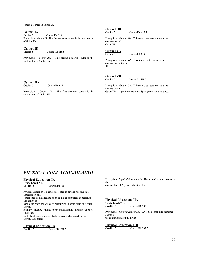concepts learned in Guitar IA.

# Guitar IIA<br>Credits: 5

Course ID: 616 Prerequisite*: Guitar IB*. This first semester course is the continuation of Guitar IB.

# Guitar IIB<br>Credits: 5

Course ID: 616.5

Prerequisite*: Guitar IIA*. This second semester course is the continuation of Guitar IIA.

# Guitar IIIB<br>Credits: 5

Course ID: 617.5

Prerequisite*: Guitar IIIA*. This second semester course is the continuation of Guitar IIIA.

# Guitar IVA<br>Credits: 5

Course ID: 619

Prerequisite*: Guitar IIIB*. This first semester course is the continuation of Guitar IIIB.

# **Guitar IIIA**<br>Credits: 5

Course ID: 617

Prerequisite*: Guitar IIB*. This first semester course is the continuation of Guitar IIB.

# **Guitar IVB**<br>Credits: 5

Course ID:  $619.5$ 

Prerequisite*: Guitar IVA*. This second semester course is the continuation of Guitar IVA. A performance in the Spring semester is required.

#### *PHYSICAL EDUCATION/HEALTH*

#### Physical Education IA

Grade Level: 9-12<br>Credits: 5

Course ID: 701 Physical Education is a course designed to develop the student's appreciation of a

conditioned body; a feeling of pride in one's physical appearance and ability to

handle the body; the values of performing in some form of vigorous activity

regularly; practice required to perform skills and the importance of emotional

control and perseverance. Students have a choice as to which activity they prefer.

# **Physical Education IB**<br>Credits: 5 Course

Course ID: 701.5

Prerequisite: *Physical Education I A*. This second semester course is the continuation of Physical Education I A.

#### Physical Education IIA

Grade Level: 9-12<br>Credits: 5

Course ID: 702

Prerequisite: *Physical Education I A/B*. This course third semester course is the continuation of P.E. I A/B.

# **Physical Education IIB**<br>Credits: 5 Course

Course ID: 702.5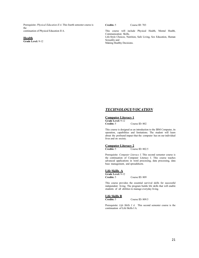Prerequisite: *Physical Education II A*. This fourth semester course is the continuation of Physical Education II A.

#### **Health**

Grade Level: 9-12

Credits: 5 Course ID: 703

This course will include Physical Health, Mental Health, Communication Skills, Life-Style Choices, Nutrition, Safe Living, Sex Education, Human Sexuality and Making Healthy Decisions.

#### *TECHNOLOGY/VOCATION*

#### Computer Literacy 1

Grade Level: 9-12<br>Credits: 5 Course ID: 802

This course is designed as an introduction to the IBM Computer, its operation, capabilities and limitations. The student will learn about the profound impact that the computer has on our individual lives and on society.

# **Computer Literacy 2**<br>Credits: 5 Cou

Course ID: 802.5

Prerequisite: *Computer Literacy I*. This second semester course is the continuation of Computer Literacy I. This course teaches advanced applications in word processing, data processing, data base management, and spreadsheets.

#### Life Skills A

Grade Level: 9-12<br>Credits: 5 Course ID: 809

This course provides the essential survival skills for successful independent living. The program builds life skills that will enable students of all abilities to manage everyday living.

# **Life Skills B**<br>Credits: 5

Course ID: 809.5

Prerequisite: *Life Skills I A*. This second semester course is the continuation of Life Skills I A.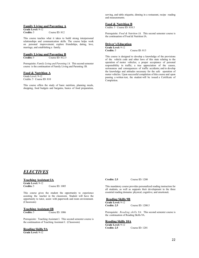serving, and table etiquette, dinning in a restaurant, recipe reading and measurements.

#### Family Living and Parenting A

| <b>Grade Level: 9-12</b> |                  |
|--------------------------|------------------|
| Credits: 5               | Course ID: $812$ |

This course teaches what it takes to build strong interpersonal relationships and communication skills. The course helps work on personal improvement; explore friendships, dating, love, marriage, and establishing a family.

# **Family Living and Parenting B**<br>Credits: 5 Course ID: 812.5

Course ID: 812.5

Prerequisite: *Family Living and Parenting 1A.* This second semester course is the continuation of Family Living and Parenting 1B.

#### Food & Nutrition A

Grade Level: 9-12 Credits: 5 Course ID: 810

This course offers the study of basic nutrition, planning meals, shopping, food budgets and bargains, basics of food preparation,

#### Food & Nutrition B

Credits: 5 Course ID: 810.5

Prerequisite: *Food & Nutrition IA*. This second semester course is the continuation of Food & Nutrition IA.

#### Driver's Education

Grade Level: 9-12<br>Credits: 5 Course ID: 813

This course is designed to develop a knowledge of the provisions of the vehicle code and other laws of this state relating to the operation of motor vehicles; a proper acceptance of personal responsibility in traffic; a true appreciation of the causes, seriousness and consequences of traffic accidents; and to develop the knowledge and attitudes necessary for the safe operation of motor vehicles. Upon successful completion of this course and upon passing a written test, the student will be issued a Certificate of Completion.

#### *ELECTIVES*

#### Teaching Assistant IA

Grade Level: 9-12<br>Credits: 5

Course ID: 1005

This course gives the student the opportunity to experience assisting the teacher in the classroom. Student will have the opportunity to tutor, assist with paperwork and room environment. (Classroom)

# **Teaching Assistant IB**<br>Credits: 5 Cours

Course ID: 1006

Prerequisite: Teaching Assistant I. This second semester course is the continuation of Teaching Assistant I. (Classroom)

#### Reading Skills 9A

Grade Level: 9-12

Credits: 2.5 Course ID: 1200

This mandatory course provides personalized reading instruction for all students, as well as supports their development in the three essential reading domains: physical, cognitive, and emotional.

#### Reading Skills 9B

Grade Level: 9-12<br>Credits: 2.5

Course ID: 1200.5

Prerequisite: *Reading skills 9A.* This second semester course is the continuation of Reading Skills 9A.

#### Reading Skills 10A

Grade Level: 9-12<br>Credits: 2.5 Course ID: 1201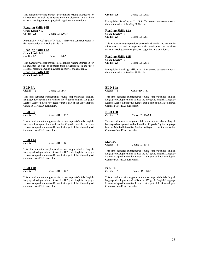This mandatory course provides personalized reading instruction for all students, as well as supports their development in the three essential reading domains: physical, cognitive, and emotional.

#### Reading Skills 10B

Grade Level: 9-12<br>Credits: 2.5 Course ID: 1201.5

Prerequisite: *Reading skills 10A*. This second semester course is the continuation of Reading Skills 10A.

#### Reading Skills 11A

Grade Level: 9-12<br>Credits: 2.5

Course ID: 1202

This mandatory course provides personalized reading instruction for all students, as well as supports their development in the three essential reading domains: physical, cognitive, and emotional.

#### Reading Skills 11B

Grade Level: 9-12

# ELD 9A

Course ID: 1145

This first semester supplemental course supports/builds English language development and utilizes the  $9<sup>th</sup>$  grade English Language Learner Adapted Interactive Reader that is part of the State-adopted Common Core ELA curriculum.

# $\frac{\text{ELD 9B}}{\text{Credits:}}$  5

Course ID: 1145.5

This second semester supplemental course supports/builds English language development and utilizes the 9<sup>th</sup> grade English Language Learner Adapted Interactive Reader that is part of the State-adopted Common Core ELA curriculum.

# $ELD 10A$ <br>Credits: 5

Course ID: 1146

This first semester supplemental course supports/builds English language development and utilizes the 10<sup>th</sup> grade English Language Learner Adapted Interactive Reader that is part of the State-adopted Common Core ELA curriculum.

# $ELD 10B$ <br>Credits:  $5$

Course ID: 1146.5

This second semester supplemental course supports/builds English language development and utilizes the 10<sup>th</sup> grade English Language Learner Adapted Interactive Reader that is part of the State-adopted Common Core ELA curriculum.

Credits: 2.5 Course ID: 1202.5

Prerequisite: *Reading skills 11A*. This second semester course is the continuation of Reading Skills 11A.

#### Reading Skills 12A

Grade Level: 9-12<br>Credits: 2.5 Course ID: 1203

This mandatory course provides personalized reading instruction for all students, as well as supports their development in the three essential reading domains: physical, cognitive, and emotional.

#### Reading Skills 12B

Grade Level: 9-12<br>Credits: 2.5 Course ID: 1203.5

Prerequisite: Reading skills 12A. This second semester course is the continuation of Reading Skills 12A.

## $ELD 11A$ <br>Credits:  $\frac{5}{2}$

Course ID: 1147

This first semester supplemental course supports/builds English language development and utilizes the 11<sup>th</sup> grade English Language Learner Adapted Interactive Reader that is part of the State-adopted Common Core ELA curriculum.

# $ELD 11B$ <br>Credits:  $\frac{5}{5}$

Course ID: 1147.5

This second semester supplemental course supports/builds English language development and utilizes the 11<sup>th</sup> grade English Language Learner Adapted Interactive Reader that is part of the State-adopted Common Core ELA curriculum.

# ELD 12A<br>Credits:

5 Course ID: 1148

This first semester supplemental course supports/builds English language development and utilizes the  $12<sup>th</sup>$  grade English Language Learner Adapted Interactive Reader that is part of the State-adopted Common Core ELA curriculum.

# $\frac{\text{ELD 12B}}{\text{Credits:}}$  5

Course ID: 1148.5

This second semester supplemental course supports/builds English language development and utilizes the  $12<sup>th</sup>$  grade English Language Learner Adapted Interactive Reader that is part of the State-adopted Common Core ELA curriculum.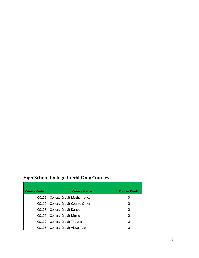# High School College Credit Only Courses

| <b>Course Code</b> | <b>Course Name</b>                | <b>Course Credit</b> |
|--------------------|-----------------------------------|----------------------|
| CC102              | <b>College Credit Mathematics</b> | 0                    |
| CC110              | College Credit Course Other       | 0                    |
| CC108              | <b>College Credit Dance</b>       | $\Omega$             |
| CC <sub>107</sub>  | <b>College Credit Music</b>       | O                    |
| CC109              | <b>College Credit Theater</b>     | 0                    |
| CC106              | <b>College Credit Visual Arts</b> |                      |